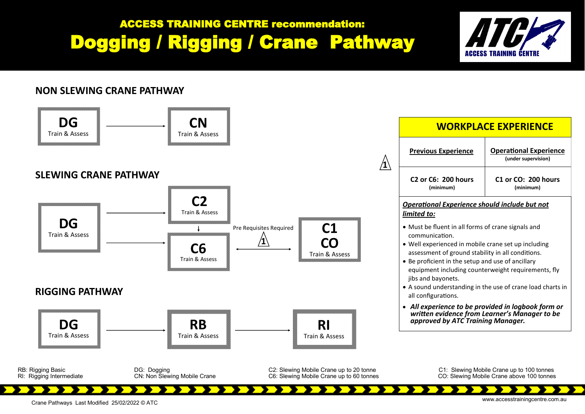## ACCESS TRAINING CENTRE recommendation: Dogging / Rigging / Crane Pathway



## **NON SLEWING CRANE PATHWAY**



www.accesstrainingcentre.com.au Crane Pathways Last Modified 25/02/2022 © ATC